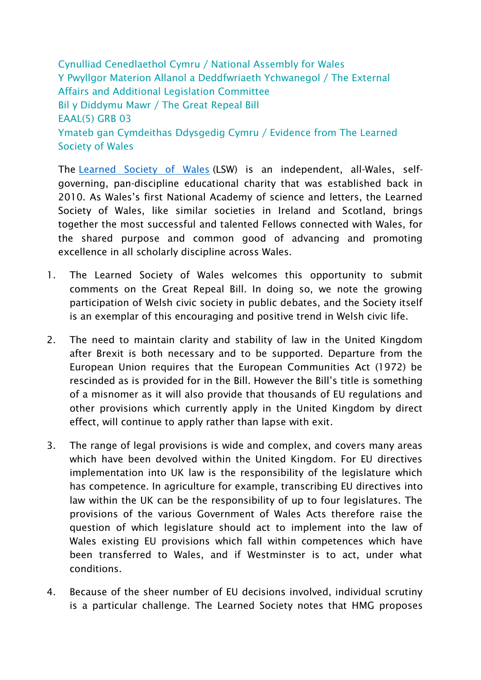Cynulliad Cenedlaethol Cymru / National Assembly for Wales Y Pwyllgor Materion Allanol a Deddfwriaeth Ychwanegol / The External Affairs and Additional Legislation Committee Bil y Diddymu Mawr / The Great Repeal Bill EAAL(5) GRB 03 Ymateb gan Cymdeithas Ddysgedig Cymru / Evidence from The Learned Society of Wales

The [Learned Society of](https://mail.wales.ac.uk/owa/redir.aspx?C=UEHrV0fl6PCe2hVI5IU8W15M_MnMe76U2uyelq9FWLa8qP73-NrTCA..&URL=https%3a%2f%2fwww.learnedsociety.wales%2f) Wales (LSW) is an independent, all-Wales, selfgoverning, pan-discipline educational charity that was established back in 2010. As Wales's first National Academy of science and letters, the Learned Society of Wales, like similar societies in Ireland and Scotland, brings together the most successful and talented Fellows connected with Wales, for the shared purpose and common good of advancing and promoting excellence in all scholarly discipline across Wales.

- 1. The Learned Society of Wales welcomes this opportunity to submit comments on the Great Repeal Bill. In doing so, we note the growing participation of Welsh civic society in public debates, and the Society itself is an exemplar of this encouraging and positive trend in Welsh civic life.
- 2. The need to maintain clarity and stability of law in the United Kingdom after Brexit is both necessary and to be supported. Departure from the European Union requires that the European Communities Act (1972) be rescinded as is provided for in the Bill. However the Bill's title is something of a misnomer as it will also provide that thousands of EU regulations and other provisions which currently apply in the United Kingdom by direct effect, will continue to apply rather than lapse with exit.
- 3. The range of legal provisions is wide and complex, and covers many areas which have been devolved within the United Kingdom. For EU directives implementation into UK law is the responsibility of the legislature which has competence. In agriculture for example, transcribing EU directives into law within the UK can be the responsibility of up to four legislatures. The provisions of the various Government of Wales Acts therefore raise the question of which legislature should act to implement into the law of Wales existing EU provisions which fall within competences which have been transferred to Wales, and if Westminster is to act, under what conditions.
- 4. Because of the sheer number of EU decisions involved, individual scrutiny is a particular challenge. The Learned Society notes that HMG proposes